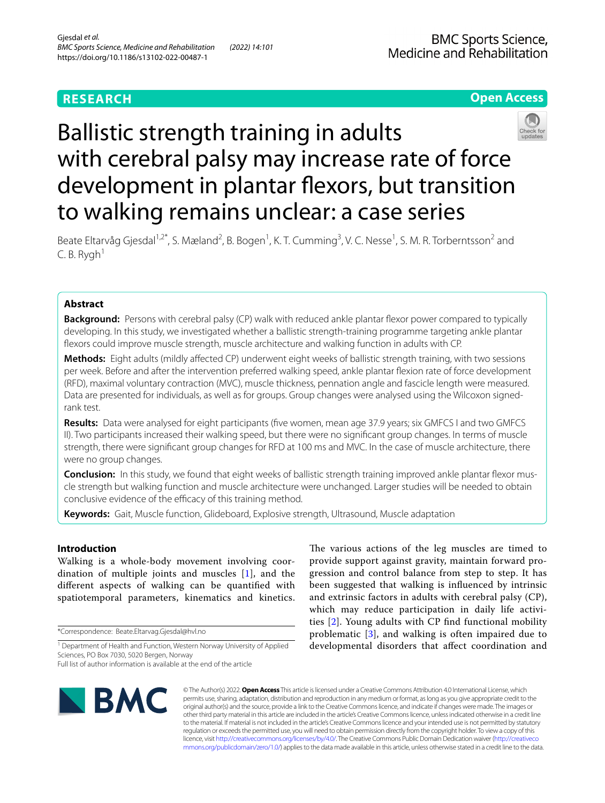# **RESEARCH**

## **Open Access**



# Ballistic strength training in adults with cerebral palsy may increase rate of force development in plantar flexors, but transition to walking remains unclear: a case series

Beate Eltarvåg Gjesdal<sup>1,2\*</sup>, S. Mæland<sup>2</sup>, B. Bogen<sup>1</sup>, K. T. Cumming<sup>3</sup>, V. C. Nesse<sup>1</sup>, S. M. R. Torberntsson<sup>2</sup> and  $C. B. Rygh<sup>1</sup>$ 

## **Abstract**

**Background:** Persons with cerebral palsy (CP) walk with reduced ankle plantar flexor power compared to typically developing. In this study, we investigated whether a ballistic strength-training programme targeting ankle plantar fexors could improve muscle strength, muscle architecture and walking function in adults with CP.

**Methods:** Eight adults (mildly afected CP) underwent eight weeks of ballistic strength training, with two sessions per week. Before and after the intervention preferred walking speed, ankle plantar fexion rate of force development (RFD), maximal voluntary contraction (MVC), muscle thickness, pennation angle and fascicle length were measured. Data are presented for individuals, as well as for groups. Group changes were analysed using the Wilcoxon signedrank test.

**Results:** Data were analysed for eight participants (fve women, mean age 37.9 years; six GMFCS I and two GMFCS II). Two participants increased their walking speed, but there were no signifcant group changes. In terms of muscle strength, there were signifcant group changes for RFD at 100 ms and MVC. In the case of muscle architecture, there were no group changes.

**Conclusion:** In this study, we found that eight weeks of ballistic strength training improved ankle plantar flexor muscle strength but walking function and muscle architecture were unchanged. Larger studies will be needed to obtain conclusive evidence of the efficacy of this training method.

**Keywords:** Gait, Muscle function, Glideboard, Explosive strength, Ultrasound, Muscle adaptation

## **Introduction**

Walking is a whole-body movement involving coordination of multiple joints and muscles [[1](#page-8-0)], and the diferent aspects of walking can be quantifed with spatiotemporal parameters, kinematics and kinetics.

\*Correspondence: Beate.Eltarvag.Gjesdal@hvl.no

The various actions of the leg muscles are timed to provide support against gravity, maintain forward progression and control balance from step to step. It has been suggested that walking is infuenced by intrinsic and extrinsic factors in adults with cerebral palsy (CP), which may reduce participation in daily life activities [[2](#page-8-1)]. Young adults with CP fnd functional mobility problematic [[3\]](#page-8-2), and walking is often impaired due to developmental disorders that afect coordination and



© The Author(s) 2022. **Open Access** This article is licensed under a Creative Commons Attribution 4.0 International License, which permits use, sharing, adaptation, distribution and reproduction in any medium or format, as long as you give appropriate credit to the original author(s) and the source, provide a link to the Creative Commons licence, and indicate if changes were made. The images or other third party material in this article are included in the article's Creative Commons licence, unless indicated otherwise in a credit line to the material. If material is not included in the article's Creative Commons licence and your intended use is not permitted by statutory regulation or exceeds the permitted use, you will need to obtain permission directly from the copyright holder. To view a copy of this licence, visit [http://creativecommons.org/licenses/by/4.0/.](http://creativecommons.org/licenses/by/4.0/) The Creative Commons Public Domain Dedication waiver ([http://creativeco](http://creativecommons.org/publicdomain/zero/1.0/) [mmons.org/publicdomain/zero/1.0/](http://creativecommons.org/publicdomain/zero/1.0/)) applies to the data made available in this article, unless otherwise stated in a credit line to the data.

<sup>&</sup>lt;sup>1</sup> Department of Health and Function, Western Norway University of Applied Sciences, PO Box 7030, 5020 Bergen, Norway

Full list of author information is available at the end of the article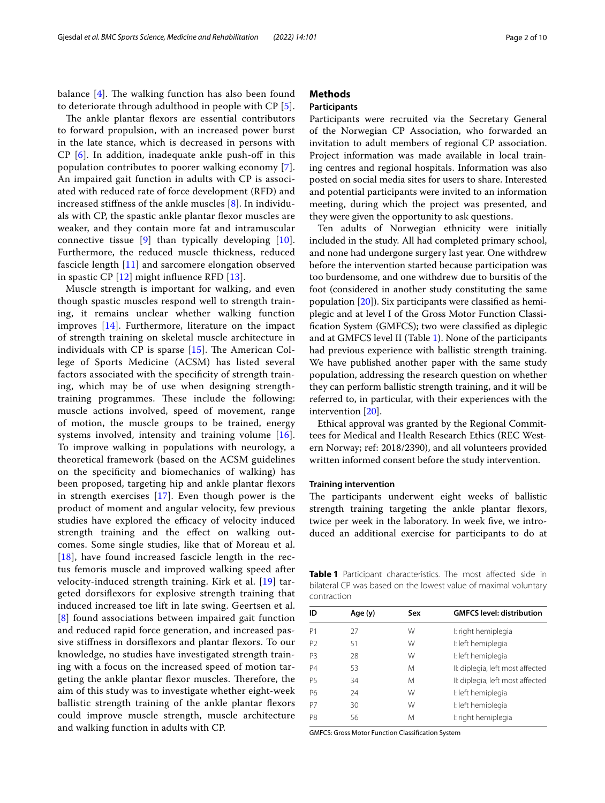balance  $[4]$ . The walking function has also been found to deteriorate through adulthood in people with CP [[5\]](#page-8-4).

The ankle plantar flexors are essential contributors to forward propulsion, with an increased power burst in the late stance, which is decreased in persons with CP [[6\]](#page-8-5). In addition, inadequate ankle push-of in this population contributes to poorer walking economy [[7\]](#page-8-6). An impaired gait function in adults with CP is associated with reduced rate of force development (RFD) and increased stifness of the ankle muscles [\[8](#page-8-7)]. In individuals with CP, the spastic ankle plantar fexor muscles are weaker, and they contain more fat and intramuscular connective tissue  $[9]$  $[9]$  than typically developing  $[10]$  $[10]$ . Furthermore, the reduced muscle thickness, reduced fascicle length [[11\]](#page-8-10) and sarcomere elongation observed in spastic CP [\[12](#page-8-11)] might infuence RFD [\[13](#page-8-12)].

Muscle strength is important for walking, and even though spastic muscles respond well to strength training, it remains unclear whether walking function improves [\[14\]](#page-8-13). Furthermore, literature on the impact of strength training on skeletal muscle architecture in individuals with CP is sparse  $[15]$  $[15]$ . The American College of Sports Medicine (ACSM) has listed several factors associated with the specifcity of strength training, which may be of use when designing strengthtraining programmes. These include the following: muscle actions involved, speed of movement, range of motion, the muscle groups to be trained, energy systems involved, intensity and training volume [[16\]](#page-8-15). To improve walking in populations with neurology, a theoretical framework (based on the ACSM guidelines on the specifcity and biomechanics of walking) has been proposed, targeting hip and ankle plantar flexors in strength exercises [[17](#page-8-16)]. Even though power is the product of moment and angular velocity, few previous studies have explored the efficacy of velocity induced strength training and the efect on walking outcomes. Some single studies, like that of Moreau et al.  $[18]$  $[18]$  $[18]$ , have found increased fascicle length in the rectus femoris muscle and improved walking speed after velocity-induced strength training. Kirk et al. [\[19\]](#page-9-0) targeted dorsifexors for explosive strength training that induced increased toe lift in late swing. Geertsen et al. [[8](#page-8-7)] found associations between impaired gait function and reduced rapid force generation, and increased passive stifness in dorsifexors and plantar fexors. To our knowledge, no studies have investigated strength training with a focus on the increased speed of motion targeting the ankle plantar flexor muscles. Therefore, the aim of this study was to investigate whether eight-week ballistic strength training of the ankle plantar flexors could improve muscle strength, muscle architecture and walking function in adults with CP.

## **Methods**

## **Participants**

Participants were recruited via the Secretary General of the Norwegian CP Association, who forwarded an invitation to adult members of regional CP association. Project information was made available in local training centres and regional hospitals. Information was also posted on social media sites for users to share. Interested and potential participants were invited to an information meeting, during which the project was presented, and they were given the opportunity to ask questions.

Ten adults of Norwegian ethnicity were initially included in the study. All had completed primary school, and none had undergone surgery last year. One withdrew before the intervention started because participation was too burdensome, and one withdrew due to bursitis of the foot (considered in another study constituting the same population  $[20]$  $[20]$ ). Six participants were classified as hemiplegic and at level I of the Gross Motor Function Classifcation System (GMFCS); two were classifed as diplegic and at GMFCS level II (Table [1](#page-1-0)). None of the participants had previous experience with ballistic strength training. We have published another paper with the same study population, addressing the research question on whether they can perform ballistic strength training, and it will be referred to, in particular, with their experiences with the intervention [[20\]](#page-9-1).

Ethical approval was granted by the Regional Committees for Medical and Health Research Ethics (REC Western Norway; ref: 2018/2390), and all volunteers provided written informed consent before the study intervention.

## **Training intervention**

The participants underwent eight weeks of ballistic strength training targeting the ankle plantar flexors, twice per week in the laboratory. In week five, we introduced an additional exercise for participants to do at

<span id="page-1-0"></span>**Table 1** Participant characteristics. The most affected side in bilateral CP was based on the lowest value of maximal voluntary contraction

| ID             | Age (y) | Sex | <b>GMFCS level: distribution</b> |
|----------------|---------|-----|----------------------------------|
| P <sub>1</sub> | 27      | W   | I: right hemiplegia              |
| P <sub>2</sub> | 51      | W   | I: left hemiplegia               |
| P <sub>3</sub> | 28      | W   | I: left hemiplegia               |
| <b>P4</b>      | 53      | M   | II: diplegia, left most affected |
| <b>P5</b>      | 34      | M   | II: diplegia, left most affected |
| <b>P6</b>      | 24      | W   | I: left hemiplegia               |
| P7             | 30      | W   | I: left hemiplegia               |
| P <sub>8</sub> | 56      | M   | I: right hemiplegia              |
|                |         |     |                                  |

GMFCS: Gross Motor Function Classifcation System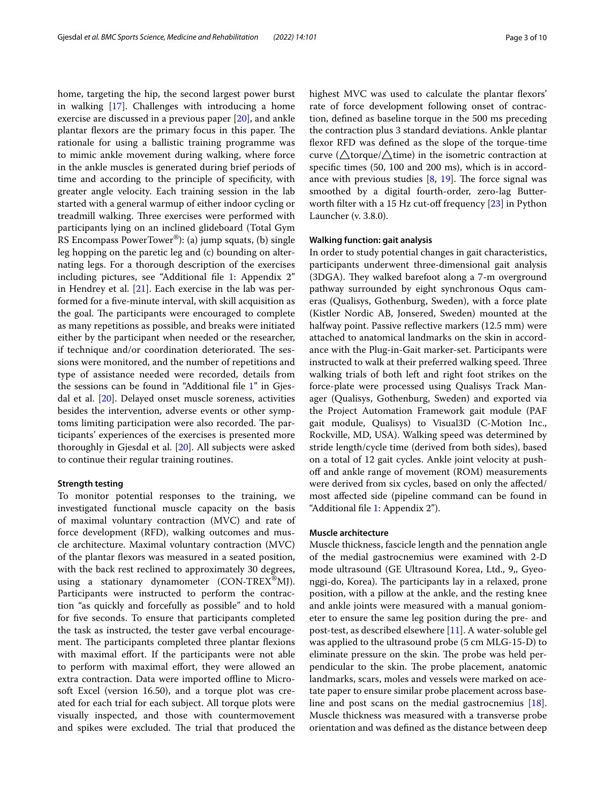home, targeting the hip, the second largest power burst in walking [\[17](#page-8-16)]. Challenges with introducing a home exercise are discussed in a previous paper [\[20\]](#page-9-1), and ankle plantar flexors are the primary focus in this paper. The rationale for using a ballistic training programme was to mimic ankle movement during walking, where force in the ankle muscles is generated during brief periods of time and according to the principle of specifcity, with greater angle velocity. Each training session in the lab started with a general warmup of either indoor cycling or treadmill walking. Three exercises were performed with participants lying on an inclined glideboard (Total Gym RS Encompass PowerTower®): (a) jump squats, (b) single leg hopping on the paretic leg and (c) bounding on alternating legs. For a thorough description of the exercises including pictures, see "Additional fle [1](#page-8-18): Appendix 2" in Hendrey et al. [[21\]](#page-9-2). Each exercise in the lab was performed for a fve-minute interval, with skill acquisition as the goal. The participants were encouraged to complete as many repetitions as possible, and breaks were initiated either by the participant when needed or the researcher, if technique and/or coordination deteriorated. The sessions were monitored, and the number of repetitions and type of assistance needed were recorded, details from the sessions can be found in "Additional fle [1](#page-8-18)" in Gjesdal et al. [[20\]](#page-9-1). Delayed onset muscle soreness, activities besides the intervention, adverse events or other symptoms limiting participation were also recorded. The participants' experiences of the exercises is presented more thoroughly in Gjesdal et al. [[20](#page-9-1)]. All subjects were asked to continue their regular training routines.

## **Strength testing**

To monitor potential responses to the training, we investigated functional muscle capacity on the basis of maximal voluntary contraction (MVC) and rate of force development (RFD), walking outcomes and muscle architecture. Maximal voluntary contraction (MVC) of the plantar fexors was measured in a seated position, with the back rest reclined to approximately 30 degrees, using a stationary dynamometer (CON-TREX<sup>®</sup>MJ). Participants were instructed to perform the contraction "as quickly and forcefully as possible" and to hold for five seconds. To ensure that participants completed the task as instructed, the tester gave verbal encouragement. The participants completed three plantar flexions with maximal effort. If the participants were not able to perform with maximal efort, they were allowed an extra contraction. Data were imported offline to Microsoft Excel (version 16.50), and a torque plot was created for each trial for each subject. All torque plots were visually inspected, and those with countermovement and spikes were excluded. The trial that produced the highest MVC was used to calculate the plantar fexors' rate of force development following onset of contraction, defned as baseline torque in the 500 ms preceding the contraction plus 3 standard deviations. Ankle plantar fexor RFD was defned as the slope of the torque-time curve ( $\triangle$ torque/ $\triangle$ time) in the isometric contraction at specifc times (50, 100 and 200 ms), which is in accordance with previous studies  $[8, 19]$  $[8, 19]$  $[8, 19]$ . The force signal was smoothed by a digital fourth-order, zero-lag Butter-worth filter with a 15 Hz cut-off frequency [\[23\]](#page-9-3) in Python Launcher (v. 3.8.0).

## **Walking function: gait analysis**

In order to study potential changes in gait characteristics, participants underwent three-dimensional gait analysis (3DGA). They walked barefoot along a 7-m overground pathway surrounded by eight synchronous Oqus cameras (Qualisys, Gothenburg, Sweden), with a force plate (Kistler Nordic AB, Jonsered, Sweden) mounted at the halfway point. Passive reflective markers (12.5 mm) were attached to anatomical landmarks on the skin in accordance with the Plug-in-Gait marker-set. Participants were instructed to walk at their preferred walking speed. Three walking trials of both left and right foot strikes on the force-plate were processed using Qualisys Track Manager (Qualisys, Gothenburg, Sweden) and exported via the Project Automation Framework gait module (PAF gait module, Qualisys) to Visual3D (C-Motion Inc., Rockville, MD, USA). Walking speed was determined by stride length/cycle time (derived from both sides), based on a total of 12 gait cycles. Ankle joint velocity at pushoff and ankle range of movement (ROM) measurements were derived from six cycles, based on only the afected/ most afected side (pipeline command can be found in "Additional fle [1:](#page-8-18) Appendix 2").

## <span id="page-2-0"></span>**Muscle architecture**

Muscle thickness, fascicle length and the pennation angle of the medial gastrocnemius were examined with 2-D mode ultrasound (GE Ultrasound Korea, Ltd., 9,, Gyeonggi-do, Korea). The participants lay in a relaxed, prone position, with a pillow at the ankle, and the resting knee and ankle joints were measured with a manual goniometer to ensure the same leg position during the pre- and post-test, as described elsewhere [\[11](#page-8-10)]. A water-soluble gel was applied to the ultrasound probe (5 cm MLG-15-D) to eliminate pressure on the skin. The probe was held perpendicular to the skin. The probe placement, anatomic landmarks, scars, moles and vessels were marked on acetate paper to ensure similar probe placement across baseline and post scans on the medial gastrocnemius [\[18](#page-8-17)]. Muscle thickness was measured with a transverse probe orientation and was defned as the distance between deep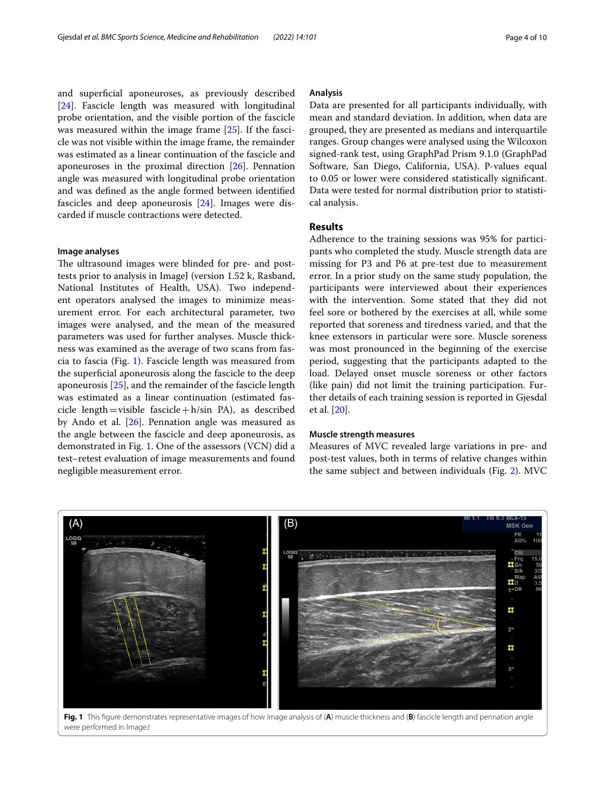and superfcial aponeuroses, as previously described [[24\]](#page-9-4). Fascicle length was measured with longitudinal probe orientation, and the visible portion of the fascicle was measured within the image frame [[25](#page-9-5)]. If the fascicle was not visible within the image frame, the remainder was estimated as a linear continuation of the fascicle and aponeuroses in the proximal direction [\[26\]](#page-9-6). Pennation angle was measured with longitudinal probe orientation and was defned as the angle formed between identifed fascicles and deep aponeurosis [[24\]](#page-9-4). Images were discarded if muscle contractions were detected.

## **Image analyses**

The ultrasound images were blinded for pre- and posttests prior to analysis in ImageJ (version 1.52 k, Rasband, National Institutes of Health, USA). Two independent operators analysed the images to minimize measurement error. For each architectural parameter, two images were analysed, and the mean of the measured parameters was used for further analyses. Muscle thickness was examined as the average of two scans from fascia to fascia (Fig. [1\)](#page-3-0). Fascicle length was measured from the superfcial aponeurosis along the fascicle to the deep aponeurosis [[25](#page-9-5)], and the remainder of the fascicle length was estimated as a linear continuation (estimated fascicle length = visible fascicle + h/sin PA), as described by Ando et al. [[26](#page-9-6)]. Pennation angle was measured as the angle between the fascicle and deep aponeurosis, as demonstrated in Fig. [1.](#page-3-0) One of the assessors (VCN) did a test–retest evaluation of image measurements and found negligible measurement error.

### **Analysis**

Data are presented for all participants individually, with mean and standard deviation. In addition, when data are grouped, they are presented as medians and interquartile ranges. Group changes were analysed using the Wilcoxon signed-rank test, using GraphPad Prism 9.1.0 (GraphPad Software, San Diego, California, USA). P-values equal to 0.05 or lower were considered statistically signifcant. Data were tested for normal distribution prior to statistical analysis.

## **Results**

Adherence to the training sessions was 95% for participants who completed the study. Muscle strength data are missing for P3 and P6 at pre-test due to measurement error. In a prior study on the same study population, the participants were interviewed about their experiences with the intervention. Some stated that they did not feel sore or bothered by the exercises at all, while some reported that soreness and tiredness varied, and that the knee extensors in particular were sore. Muscle soreness was most pronounced in the beginning of the exercise period, suggesting that the participants adapted to the load. Delayed onset muscle soreness or other factors (like pain) did not limit the training participation. Further details of each training session is reported in Gjesdal et al. [[20](#page-9-1)].

## **Muscle strength measures**

Measures of MVC revealed large variations in pre- and post-test values, both in terms of relative changes within the same subject and between individuals (Fig. [2](#page-4-0)). MVC

<span id="page-3-0"></span>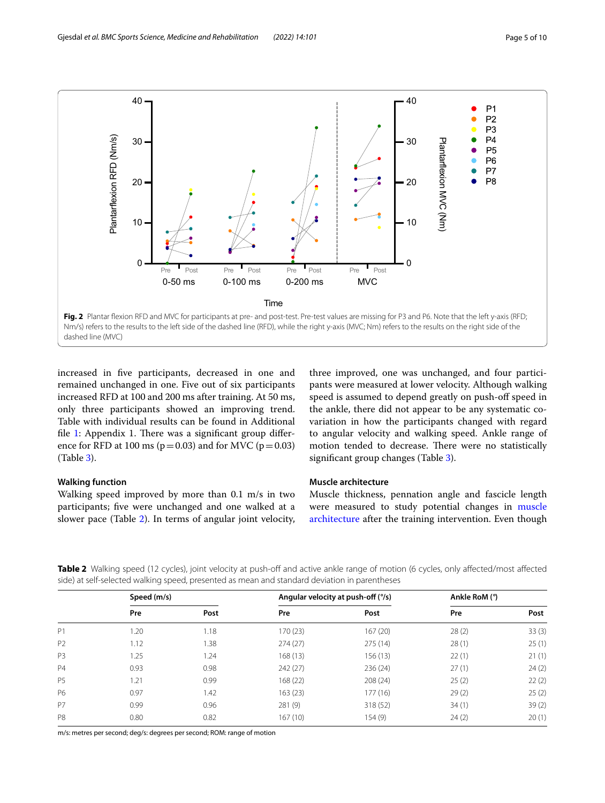

<span id="page-4-0"></span>increased in fve participants, decreased in one and remained unchanged in one. Five out of six participants increased RFD at 100 and 200 ms after training. At 50 ms, only three participants showed an improving trend. Table with individual results can be found in Additional file  $1$ : Appendix 1. There was a significant group difference for RFD at 100 ms ( $p=0.03$ ) and for MVC ( $p=0.03$ ) (Table [3](#page-5-0)).

## <span id="page-4-2"></span>**Walking function**

Walking speed improved by more than 0.1 m/s in two participants; fve were unchanged and one walked at a slower pace (Table [2](#page-4-1)). In terms of angular joint velocity,

three improved, one was unchanged, and four participants were measured at lower velocity. Although walking speed is assumed to depend greatly on push-of speed in the ankle, there did not appear to be any systematic covariation in how the participants changed with regard to angular velocity and walking speed. Ankle range of motion tended to decrease. There were no statistically significant group changes (Table [3\)](#page-5-0).

## **Muscle architecture**

Muscle thickness, pennation angle and fascicle length were measured to study potential changes in muscle [architecture](#page-2-0) after the training intervention. Even though

<span id="page-4-1"></span>Table 2 Walking speed (12 cycles), joint velocity at push-off and active ankle range of motion (6 cycles, only affected/most affected side) at self-selected walking speed, presented as mean and standard deviation in parentheses

|                | Speed (m/s) |      | Angular velocity at push-off (%) |          | Ankle RoM (°) |       |
|----------------|-------------|------|----------------------------------|----------|---------------|-------|
|                | Pre         | Post | Pre                              | Post     | Pre           | Post  |
| P1             | 1.20        | 1.18 | 170 (23)                         | 167(20)  | 28(2)         | 33(3) |
| P <sub>2</sub> | 1.12        | 1.38 | 274(27)                          | 275(14)  | 28(1)         | 25(1) |
| P <sub>3</sub> | 1.25        | 1.24 | 168(13)                          | 156 (13) | 22(1)         | 21(1) |
| <b>P4</b>      | 0.93        | 0.98 | 242 (27)                         | 236 (24) | 27(1)         | 24(2) |
| P <sub>5</sub> | 1.21        | 0.99 | 168 (22)                         | 208(24)  | 25(2)         | 22(2) |
| P6             | 0.97        | 1.42 | 163(23)                          | 177(16)  | 29(2)         | 25(2) |
| P7             | 0.99        | 0.96 | 281(9)                           | 318 (52) | 34(1)         | 39(2) |
| P <sub>8</sub> | 0.80        | 0.82 | 167(10)                          | 154(9)   | 24(2)         | 20(1) |

m/s: metres per second; deg/s: degrees per second; ROM: range of motion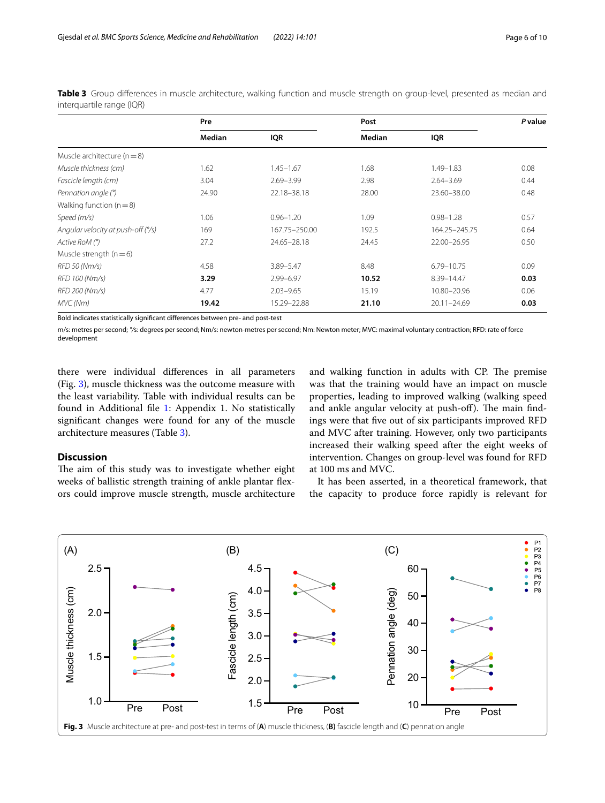|                                    | Pre    |               | Post   |                 | P value |
|------------------------------------|--------|---------------|--------|-----------------|---------|
|                                    | Median | <b>IQR</b>    | Median | <b>IQR</b>      |         |
| Muscle architecture $(n = 8)$      |        |               |        |                 |         |
| Muscle thickness (cm)              | 1.62   | $1.45 - 1.67$ | 1.68   | 1.49-1.83       | 0.08    |
| Fascicle length (cm)               | 3.04   | $2.69 - 3.99$ | 2.98   | $2.64 - 3.69$   | 0.44    |
| Pennation angle (°)                | 24.90  | 22.18-38.18   | 28.00  | 23.60-38.00     | 0.48    |
| Walking function ( $n = 8$ )       |        |               |        |                 |         |
| Speed (m/s)                        | 1.06   | $0.96 - 1.20$ | 1.09   | $0.98 - 1.28$   | 0.57    |
| Angular velocity at push-off (°/s) | 169    | 167.75-250.00 | 192.5  | 164.25-245.75   | 0.64    |
| Active RoM (°)                     | 27.2   | 24.65-28.18   | 24.45  | 22.00-26.95     | 0.50    |
| Muscle strength ( $n = 6$ )        |        |               |        |                 |         |
| RFD 50 (Nm/s)                      | 4.58   | 3.89-5.47     | 8.48   | 6.79-10.75      | 0.09    |
| RFD 100 (Nm/s)                     | 3.29   | 2.99-6.97     | 10.52  | 8.39-14.47      | 0.03    |
| RFD 200 (Nm/s)                     | 4.77   | $2.03 - 9.65$ | 15.19  | 10.80-20.96     | 0.06    |
| MVC (Nm)                           | 19.42  | 15.29-22.88   | 21.10  | $20.11 - 24.69$ | 0.03    |

<span id="page-5-0"></span>**Table 3** Group diferences in muscle architecture, walking function and muscle strength on group-level, presented as median and interquartile range (IQR)

Bold indicates statistically signifcant diferences between pre- and post-test

m/s: metres per second; *°/*s: degrees per second; Nm/s: newton-metres per second; Nm: Newton meter; MVC: maximal voluntary contraction; RFD: rate of force development

there were individual diferences in all parameters (Fig. [3](#page-5-1)), muscle thickness was the outcome measure with the least variability. Table with individual results can be found in Additional fle [1](#page-8-18): Appendix 1. No statistically signifcant changes were found for any of the muscle architecture measures (Table [3](#page-5-0)).

## **Discussion**

The aim of this study was to investigate whether eight weeks of ballistic strength training of ankle plantar fexors could improve muscle strength, muscle architecture and walking function in adults with CP. The premise was that the training would have an impact on muscle properties, leading to improved walking (walking speed and ankle angular velocity at push-off). The main findings were that fve out of six participants improved RFD and MVC after training. However, only two participants increased their walking speed after the eight weeks of intervention. Changes on group-level was found for RFD at 100 ms and MVC.

It has been asserted, in a theoretical framework, that the capacity to produce force rapidly is relevant for

<span id="page-5-1"></span>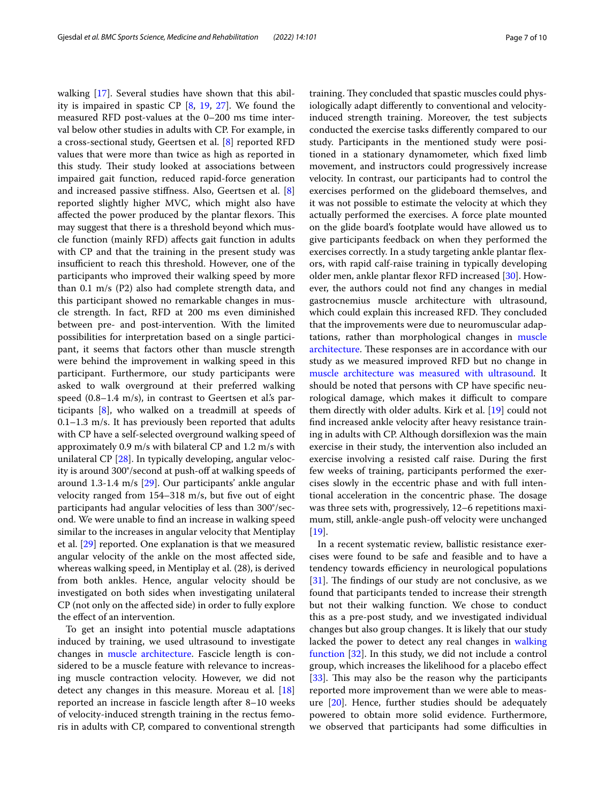walking [\[17](#page-8-16)]. Several studies have shown that this ability is impaired in spastic CP [[8](#page-8-7), [19](#page-9-0), [27](#page-9-7)]. We found the measured RFD post-values at the 0–200 ms time interval below other studies in adults with CP. For example, in a cross-sectional study, Geertsen et al. [\[8](#page-8-7)] reported RFD values that were more than twice as high as reported in this study. Their study looked at associations between impaired gait function, reduced rapid-force generation and increased passive stifness. Also, Geertsen et al. [\[8](#page-8-7)] reported slightly higher MVC, which might also have affected the power produced by the plantar flexors. This may suggest that there is a threshold beyond which muscle function (mainly RFD) afects gait function in adults with CP and that the training in the present study was insufficient to reach this threshold. However, one of the participants who improved their walking speed by more than 0.1 m/s (P2) also had complete strength data, and this participant showed no remarkable changes in muscle strength. In fact, RFD at 200 ms even diminished between pre- and post-intervention. With the limited possibilities for interpretation based on a single participant, it seems that factors other than muscle strength were behind the improvement in walking speed in this participant. Furthermore, our study participants were asked to walk overground at their preferred walking speed  $(0.8-1.4 \text{ m/s})$ , in contrast to Geertsen et al.'s participants [\[8\]](#page-8-7), who walked on a treadmill at speeds of 0.1–1.3 m/s. It has previously been reported that adults with CP have a self-selected overground walking speed of approximately 0.9 m/s with bilateral CP and 1.2 m/s with unilateral CP [\[28](#page-9-8)]. In typically developing, angular velocity is around 300°/second at push-off at walking speeds of around 1.3-1.4 m/s [\[29\]](#page-9-9). Our participants' ankle angular velocity ranged from 154–318 m/s, but five out of eight participants had angular velocities of less than 300°/second. We were unable to fnd an increase in walking speed similar to the increases in angular velocity that Mentiplay et al. [\[29\]](#page-9-9) reported. One explanation is that we measured angular velocity of the ankle on the most afected side, whereas walking speed, in Mentiplay et al. (28), is derived from both ankles. Hence, angular velocity should be investigated on both sides when investigating unilateral CP (not only on the afected side) in order to fully explore the efect of an intervention.

To get an insight into potential muscle adaptations induced by training, we used ultrasound to investigate changes in [muscle architecture.](#page-2-0) Fascicle length is considered to be a muscle feature with relevance to increasing muscle contraction velocity. However, we did not detect any changes in this measure. Moreau et al. [[18](#page-8-17)] reported an increase in fascicle length after 8–10 weeks of velocity-induced strength training in the rectus femoris in adults with CP, compared to conventional strength training. They concluded that spastic muscles could physiologically adapt diferently to conventional and velocityinduced strength training. Moreover, the test subjects conducted the exercise tasks diferently compared to our study. Participants in the mentioned study were positioned in a stationary dynamometer, which fxed limb movement, and instructors could progressively increase velocity. In contrast, our participants had to control the exercises performed on the glideboard themselves, and it was not possible to estimate the velocity at which they actually performed the exercises. A force plate mounted on the glide board's footplate would have allowed us to give participants feedback on when they performed the exercises correctly. In a study targeting ankle plantar fexors, with rapid calf-raise training in typically developing older men, ankle plantar flexor RFD increased [[30\]](#page-9-10). However, the authors could not fnd any changes in medial gastrocnemius muscle architecture with ultrasound, which could explain this increased RFD. They concluded that the improvements were due to neuromuscular adaptations, rather than morphological changes in muscle [architecture](#page-2-0). These responses are in accordance with our study as we measured improved RFD but no change in [muscle architecture was measured with ultrasound](#page-2-0). It should be noted that persons with CP have specifc neurological damage, which makes it difficult to compare them directly with older adults. Kirk et al. [[19](#page-9-0)] could not fnd increased ankle velocity after heavy resistance training in adults with CP. Although dorsifexion was the main exercise in their study, the intervention also included an exercise involving a resisted calf raise. During the frst few weeks of training, participants performed the exercises slowly in the eccentric phase and with full intentional acceleration in the concentric phase. The dosage was three sets with, progressively, 12–6 repetitions maximum, still, ankle-angle push-off velocity were unchanged [[19\]](#page-9-0).

In a recent systematic review, ballistic resistance exercises were found to be safe and feasible and to have a tendency towards efficiency in neurological populations [[31\]](#page-9-11). The findings of our study are not conclusive, as we found that participants tended to increase their strength but not their walking function. We chose to conduct this as a pre-post study, and we investigated individual changes but also group changes. It is likely that our study lacked the power to detect any real changes in [walking](#page-4-2)  [function](#page-4-2) [[32\]](#page-9-12). In this study, we did not include a control group, which increases the likelihood for a placebo efect [[33\]](#page-9-13). This may also be the reason why the participants reported more improvement than we were able to measure  $[20]$  $[20]$ . Hence, further studies should be adequately powered to obtain more solid evidence. Furthermore, we observed that participants had some difficulties in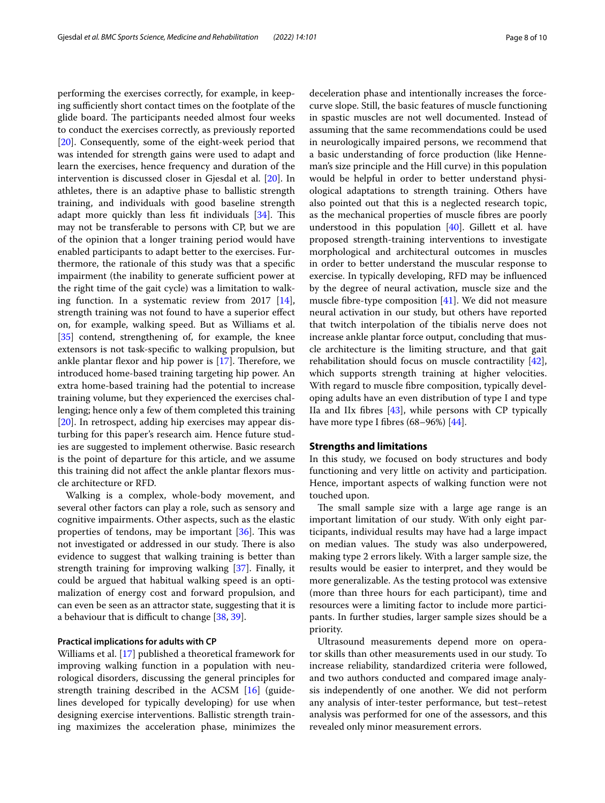performing the exercises correctly, for example, in keeping sufficiently short contact times on the footplate of the glide board. The participants needed almost four weeks to conduct the exercises correctly, as previously reported [[20\]](#page-9-1). Consequently, some of the eight-week period that was intended for strength gains were used to adapt and learn the exercises, hence frequency and duration of the intervention is discussed closer in Gjesdal et al. [\[20\]](#page-9-1). In athletes, there is an adaptive phase to ballistic strength training, and individuals with good baseline strength adapt more quickly than less fit individuals [\[34\]](#page-9-14). This may not be transferable to persons with CP, but we are of the opinion that a longer training period would have enabled participants to adapt better to the exercises. Furthermore, the rationale of this study was that a specifc impairment (the inability to generate sufficient power at the right time of the gait cycle) was a limitation to walking function. In a systematic review from 2017 [\[14](#page-8-13)], strength training was not found to have a superior efect on, for example, walking speed. But as Williams et al. [[35\]](#page-9-15) contend, strengthening of, for example, the knee extensors is not task-specifc to walking propulsion, but ankle plantar flexor and hip power is  $[17]$  $[17]$ . Therefore, we introduced home-based training targeting hip power. An extra home-based training had the potential to increase training volume, but they experienced the exercises challenging; hence only a few of them completed this training [[20\]](#page-9-1). In retrospect, adding hip exercises may appear disturbing for this paper's research aim. Hence future studies are suggested to implement otherwise. Basic research is the point of departure for this article, and we assume this training did not afect the ankle plantar fexors muscle architecture or RFD.

Walking is a complex, whole-body movement, and several other factors can play a role, such as sensory and cognitive impairments. Other aspects, such as the elastic properties of tendons, may be important  $[36]$  $[36]$ . This was not investigated or addressed in our study. There is also evidence to suggest that walking training is better than strength training for improving walking [\[37](#page-9-17)]. Finally, it could be argued that habitual walking speed is an optimalization of energy cost and forward propulsion, and can even be seen as an attractor state, suggesting that it is a behaviour that is difficult to change  $[38, 39]$  $[38, 39]$  $[38, 39]$  $[38, 39]$ .

## **Practical implications for adults with CP**

Williams et al. [[17](#page-8-16)] published a theoretical framework for improving walking function in a population with neurological disorders, discussing the general principles for strength training described in the ACSM [\[16](#page-8-15)] (guidelines developed for typically developing) for use when designing exercise interventions. Ballistic strength training maximizes the acceleration phase, minimizes the deceleration phase and intentionally increases the forcecurve slope. Still, the basic features of muscle functioning in spastic muscles are not well documented. Instead of assuming that the same recommendations could be used in neurologically impaired persons, we recommend that a basic understanding of force production (like Henneman's size principle and the Hill curve) in this population would be helpful in order to better understand physiological adaptations to strength training. Others have also pointed out that this is a neglected research topic, as the mechanical properties of muscle fbres are poorly understood in this population [\[40](#page-9-20)]. Gillett et al. have proposed strength-training interventions to investigate morphological and architectural outcomes in muscles in order to better understand the muscular response to exercise. In typically developing, RFD may be infuenced by the degree of neural activation, muscle size and the muscle fbre-type composition [[41](#page-9-21)]. We did not measure neural activation in our study, but others have reported that twitch interpolation of the tibialis nerve does not increase ankle plantar force output, concluding that muscle architecture is the limiting structure, and that gait rehabilitation should focus on muscle contractility [\[42](#page-9-22)], which supports strength training at higher velocities. With regard to muscle fbre composition, typically developing adults have an even distribution of type I and type IIa and IIx fbres [\[43](#page-9-23)], while persons with CP typically have more type I fibres  $(68–96%)$   $[44]$  $[44]$ .

## **Strengths and limitations**

In this study, we focused on body structures and body functioning and very little on activity and participation. Hence, important aspects of walking function were not touched upon.

The small sample size with a large age range is an important limitation of our study. With only eight participants, individual results may have had a large impact on median values. The study was also underpowered, making type 2 errors likely. With a larger sample size, the results would be easier to interpret, and they would be more generalizable. As the testing protocol was extensive (more than three hours for each participant), time and resources were a limiting factor to include more participants. In further studies, larger sample sizes should be a priority.

Ultrasound measurements depend more on operator skills than other measurements used in our study. To increase reliability, standardized criteria were followed, and two authors conducted and compared image analysis independently of one another. We did not perform any analysis of inter-tester performance, but test–retest analysis was performed for one of the assessors, and this revealed only minor measurement errors.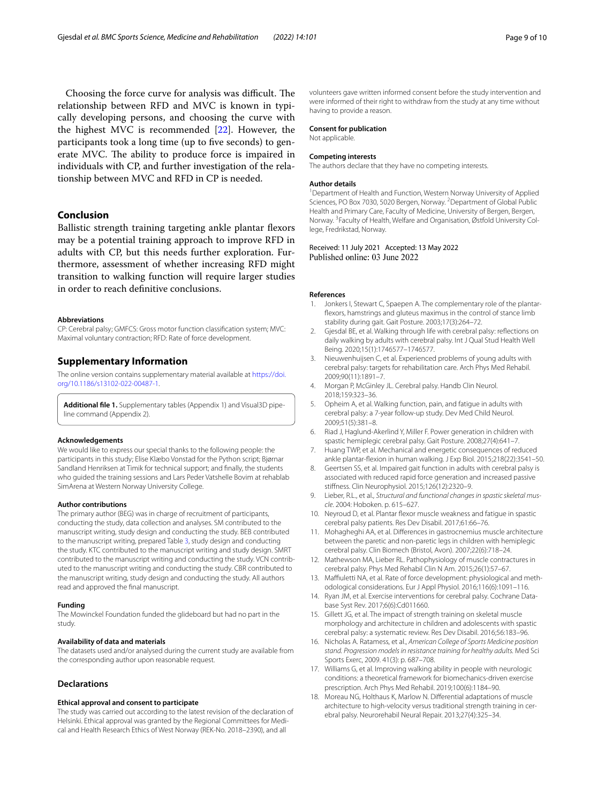Choosing the force curve for analysis was difficult. The relationship between RFD and MVC is known in typically developing persons, and choosing the curve with the highest MVC is recommended [\[22](#page-9-25)]. However, the participants took a long time (up to five seconds) to generate MVC. The ability to produce force is impaired in individuals with CP, and further investigation of the relationship between MVC and RFD in CP is needed.

## **Conclusion**

Ballistic strength training targeting ankle plantar flexors may be a potential training approach to improve RFD in adults with CP, but this needs further exploration. Furthermore, assessment of whether increasing RFD might transition to walking function will require larger studies in order to reach defnitive conclusions.

#### **Abbreviations**

CP: Cerebral palsy; GMFCS: Gross motor function classifcation system; MVC: Maximal voluntary contraction; RFD: Rate of force development.

### **Supplementary Information**

The online version contains supplementary material available at [https://doi.](https://doi.org/10.1186/s13102-022-00487-1) [org/10.1186/s13102-022-00487-1](https://doi.org/10.1186/s13102-022-00487-1).

<span id="page-8-18"></span>**Additional fle 1.** Supplementary tables (Appendix 1) and Visual3D pipeline command (Appendix 2).

#### **Acknowledgements**

We would like to express our special thanks to the following people: the participants in this study; Elise Klæbo Vonstad for the Python script; Bjørnar Sandland Henriksen at Timik for technical support; and fnally, the students who guided the training sessions and Lars Peder Vatshelle Bovim at rehablab SimArena at Western Norway University College.

#### **Author contributions**

The primary author (BEG) was in charge of recruitment of participants, conducting the study, data collection and analyses. SM contributed to the manuscript writing, study design and conducting the study. BEB contributed to the manuscript writing, prepared Table [3,](#page-5-0) study design and conducting the study. KTC contributed to the manuscript writing and study design. SMRT contributed to the manuscript writing and conducting the study. VCN contributed to the manuscript writing and conducting the study. CBR contributed to the manuscript writing, study design and conducting the study. All authors read and approved the fnal manuscript.

#### **Funding**

The Mowinckel Foundation funded the glideboard but had no part in the study.

#### **Availability of data and materials**

The datasets used and/or analysed during the current study are available from the corresponding author upon reasonable request.

#### **Declarations**

#### **Ethical approval and consent to participate**

The study was carried out according to the latest revision of the declaration of Helsinki. Ethical approval was granted by the Regional Committees for Medical and Health Research Ethics of West Norway (REK-No. 2018–2390), and all

volunteers gave written informed consent before the study intervention and were informed of their right to withdraw from the study at any time without having to provide a reason.

## **Consent for publication**

Not applicable.

#### **Competing interests**

The authors declare that they have no competing interests.

#### **Author details**

<sup>1</sup> Department of Health and Function, Western Norway University of Applied Sciences, PO Box 7030, 5020 Bergen, Norway. <sup>2</sup> Department of Global Public Health and Primary Care, Faculty of Medicine, University of Bergen, Bergen, Norway. 3 Faculty of Health, Welfare and Organisation, Østfold University College, Fredrikstad, Norway.

## Received: 11 July 2021 Accepted: 13 May 2022 Published online: 03 June 2022

#### **References**

- <span id="page-8-0"></span>1. Jonkers I, Stewart C, Spaepen A. The complementary role of the plantarfexors, hamstrings and gluteus maximus in the control of stance limb stability during gait. Gait Posture. 2003;17(3):264–72.
- <span id="page-8-1"></span>2. Gjesdal BE, et al. Walking through life with cerebral palsy: refections on daily walking by adults with cerebral palsy. Int J Qual Stud Health Well Being. 2020;15(1):1746577–1746577.
- <span id="page-8-2"></span>Nieuwenhuijsen C, et al. Experienced problems of young adults with cerebral palsy: targets for rehabilitation care. Arch Phys Med Rehabil. 2009;90(11):1891–7.
- <span id="page-8-3"></span>4. Morgan P, McGinley JL. Cerebral palsy. Handb Clin Neurol. 2018;159:323–36.
- <span id="page-8-4"></span>5. Opheim A, et al. Walking function, pain, and fatigue in adults with cerebral palsy: a 7-year follow-up study. Dev Med Child Neurol. 2009;51(5):381–8.
- <span id="page-8-5"></span>6. Riad J, Haglund-Akerlind Y, Miller F. Power generation in children with spastic hemiplegic cerebral palsy. Gait Posture. 2008;27(4):641–7.
- <span id="page-8-6"></span>7. Huang TWP, et al. Mechanical and energetic consequences of reduced ankle plantar-fexion in human walking. J Exp Biol. 2015;218(22):3541–50.
- <span id="page-8-7"></span>8. Geertsen SS, et al. Impaired gait function in adults with cerebral palsy is associated with reduced rapid force generation and increased passive stifness. Clin Neurophysiol. 2015;126(12):2320–9.
- <span id="page-8-8"></span>9. Lieber, R.L., et al., *Structural and functional changes in spastic skeletal muscle*. 2004: Hoboken. p. 615–627.
- <span id="page-8-9"></span>10. Neyroud D, et al. Plantar fexor muscle weakness and fatigue in spastic cerebral palsy patients. Res Dev Disabil. 2017;61:66–76.
- <span id="page-8-10"></span>11. Mohagheghi AA, et al. Diferences in gastrocnemius muscle architecture between the paretic and non-paretic legs in children with hemiplegic cerebral palsy. Clin Biomech (Bristol, Avon). 2007;22(6):718–24.
- <span id="page-8-11"></span>12. Mathewson MA, Lieber RL. Pathophysiology of muscle contractures in cerebral palsy. Phys Med Rehabil Clin N Am. 2015;26(1):57–67.
- <span id="page-8-12"></span>13. Maffiuletti NA, et al. Rate of force development: physiological and methodological considerations. Eur J Appl Physiol. 2016;116(6):1091–116.
- <span id="page-8-13"></span>14. Ryan JM, et al. Exercise interventions for cerebral palsy. Cochrane Database Syst Rev. 2017;6(6):Cd011660.
- <span id="page-8-14"></span>15. Gillett JG, et al. The impact of strength training on skeletal muscle morphology and architecture in children and adolescents with spastic cerebral palsy: a systematic review. Res Dev Disabil. 2016;56:183–96.
- <span id="page-8-15"></span>16. Nicholas A. Ratamess, et al., *American College of Sports Medicine position stand. Progression models in resistance training for healthy adults.* Med Sci Sports Exerc, 2009. 41(3): p. 687–708.
- <span id="page-8-16"></span>17. Williams G, et al. Improving walking ability in people with neurologic conditions: a theoretical framework for biomechanics-driven exercise prescription. Arch Phys Med Rehabil. 2019;100(6):1184–90.
- <span id="page-8-17"></span>18. Moreau NG, Holthaus K, Marlow N. Diferential adaptations of muscle architecture to high-velocity versus traditional strength training in cerebral palsy. Neurorehabil Neural Repair. 2013;27(4):325–34.